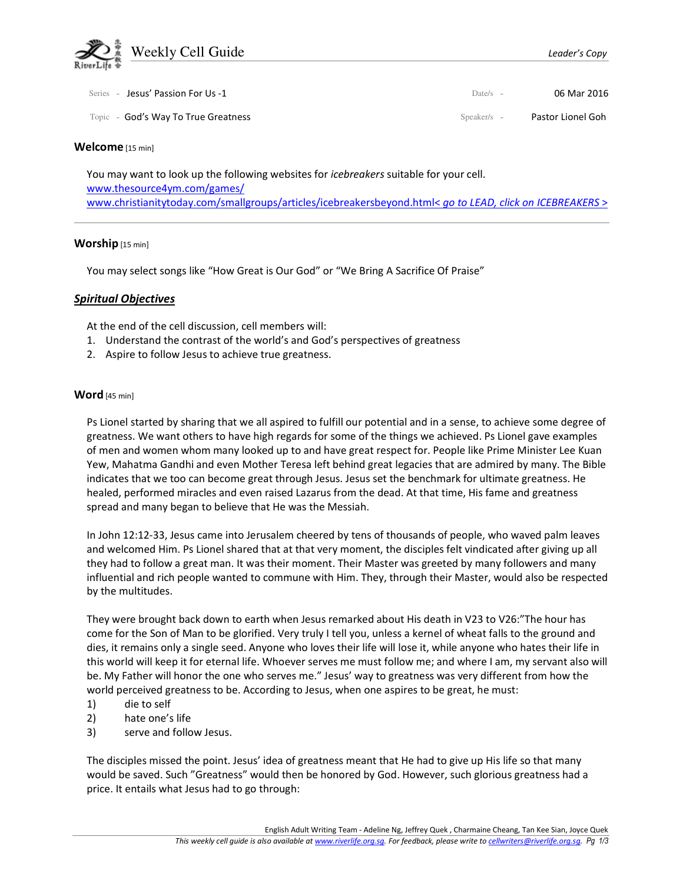

| Series - Jesus' Passion For Us -1   | Date/s $-$  | 06 Mar 2016       |
|-------------------------------------|-------------|-------------------|
| Topic - God's Way To True Greatness | Speaker/s – | Pastor Lionel Goh |

### Welcome [15 min]

You may want to look up the following websites for *icebreakers* suitable for your cell. www.thesource4ym.com/games/ www.christianitytoday.com/smallgroups/articles/icebreakersbeyond.html< go to LEAD, click on ICEBREAKERS >

### Worship [15 min]

You may select songs like "How Great is Our God" or "We Bring A Sacrifice Of Praise"

# Spiritual Objectives

At the end of the cell discussion, cell members will:

- 1. Understand the contrast of the world's and God's perspectives of greatness
- 2. Aspire to follow Jesus to achieve true greatness.

# Word [45 min]

Ps Lionel started by sharing that we all aspired to fulfill our potential and in a sense, to achieve some degree of greatness. We want others to have high regards for some of the things we achieved. Ps Lionel gave examples of men and women whom many looked up to and have great respect for. People like Prime Minister Lee Kuan Yew, Mahatma Gandhi and even Mother Teresa left behind great legacies that are admired by many. The Bible indicates that we too can become great through Jesus. Jesus set the benchmark for ultimate greatness. He healed, performed miracles and even raised Lazarus from the dead. At that time, His fame and greatness spread and many began to believe that He was the Messiah.

In John 12:12-33, Jesus came into Jerusalem cheered by tens of thousands of people, who waved palm leaves and welcomed Him. Ps Lionel shared that at that very moment, the disciples felt vindicated after giving up all they had to follow a great man. It was their moment. Their Master was greeted by many followers and many influential and rich people wanted to commune with Him. They, through their Master, would also be respected by the multitudes.

They were brought back down to earth when Jesus remarked about His death in V23 to V26:"The hour has come for the Son of Man to be glorified. Very truly I tell you, unless a kernel of wheat falls to the ground and dies, it remains only a single seed. Anyone who loves their life will lose it, while anyone who hates their life in this world will keep it for eternal life. Whoever serves me must follow me; and where I am, my servant also will be. My Father will honor the one who serves me." Jesus' way to greatness was very different from how the world perceived greatness to be. According to Jesus, when one aspires to be great, he must:

- 1) die to self
- 2) hate one's life
- 3) serve and follow Jesus.

The disciples missed the point. Jesus' idea of greatness meant that He had to give up His life so that many would be saved. Such "Greatness" would then be honored by God. However, such glorious greatness had a price. It entails what Jesus had to go through: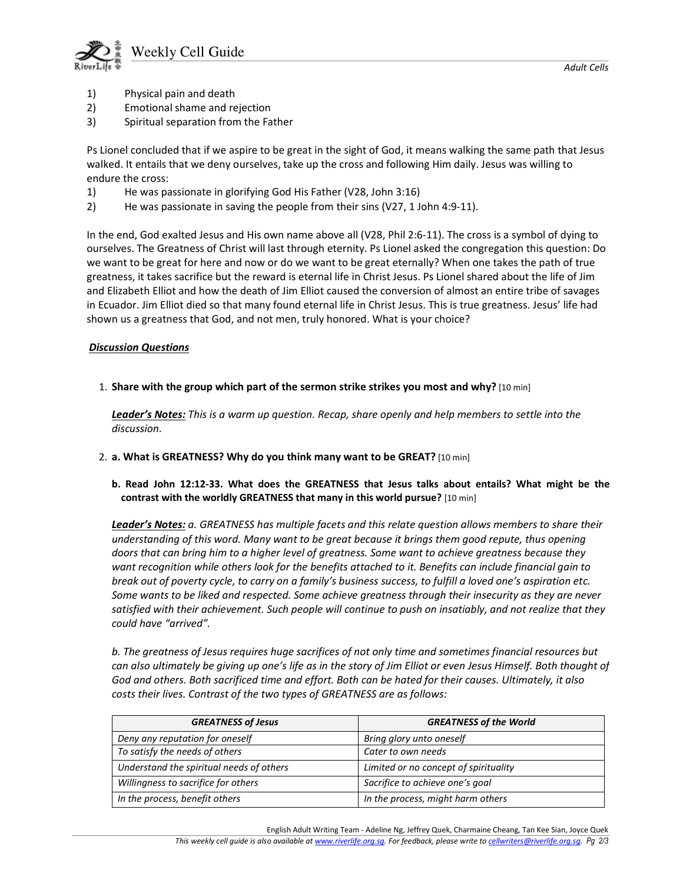

- 1) Physical pain and death
- 2) Emotional shame and rejection
- 3) Spiritual separation from the Father

Ps Lionel concluded that if we aspire to be great in the sight of God, it means walking the same path that Jesus walked. It entails that we deny ourselves, take up the cross and following Him daily. Jesus was willing to endure the cross:

- 1) He was passionate in glorifying God His Father (V28, John 3:16)
- 2) He was passionate in saving the people from their sins (V27, 1 John 4:9-11).

In the end, God exalted Jesus and His own name above all (V28, Phil 2:6-11). The cross is a symbol of dying to ourselves. The Greatness of Christ will last through eternity. Ps Lionel asked the congregation this question: Do we want to be great for here and now or do we want to be great eternally? When one takes the path of true greatness, it takes sacrifice but the reward is eternal life in Christ Jesus. Ps Lionel shared about the life of Jim and Elizabeth Elliot and how the death of Jim Elliot caused the conversion of almost an entire tribe of savages in Ecuador. Jim Elliot died so that many found eternal life in Christ Jesus. This is true greatness. Jesus' life had shown us a greatness that God, and not men, truly honored. What is your choice?

# Discussion Questions

1. Share with the group which part of the sermon strike strikes you most and why? [10 min]

Leader's Notes: This is a warm up question. Recap, share openly and help members to settle into the discussion.

- 2. a. What is GREATNESS? Why do you think many want to be GREAT? [10 min]
	- b. Read John 12:12-33. What does the GREATNESS that Jesus talks about entails? What might be the contrast with the worldly GREATNESS that many in this world pursue? [10 min]

Leader's Notes: a. GREATNESS has multiple facets and this relate question allows members to share their understanding of this word. Many want to be great because it brings them good repute, thus opening doors that can bring him to a higher level of greatness. Some want to achieve greatness because they want recognition while others look for the benefits attached to it. Benefits can include financial gain to break out of poverty cycle, to carry on a family's business success, to fulfill a loved one's aspiration etc. Some wants to be liked and respected. Some achieve greatness through their insecurity as they are never satisfied with their achievement. Such people will continue to push on insatiably, and not realize that they could have "arrived".

b. The greatness of Jesus requires huge sacrifices of not only time and sometimes financial resources but can also ultimately be giving up one's life as in the story of Jim Elliot or even Jesus Himself. Both thought of God and others. Both sacrificed time and effort. Both can be hated for their causes. Ultimately, it also costs their lives. Contrast of the two types of GREATNESS are as follows:

| <b>GREATNESS of Jesus</b>                | <b>GREATNESS of the World</b>         |
|------------------------------------------|---------------------------------------|
| Deny any reputation for oneself          | Bring glory unto oneself              |
| To satisfy the needs of others           | Cater to own needs                    |
| Understand the spiritual needs of others | Limited or no concept of spirituality |
| Willingness to sacrifice for others      | Sacrifice to achieve one's goal       |
| In the process, benefit others           | In the process, might harm others     |

English Adult Writing Team - Adeline Ng, Jeffrey Quek, Charmaine Cheang, Tan Kee Sian, Joyce Quek This weekly cell guide is also available at www.riverlife.org.sg. For feedback, please write to cellwriters@riverlife.org.sg. Pg 2/3